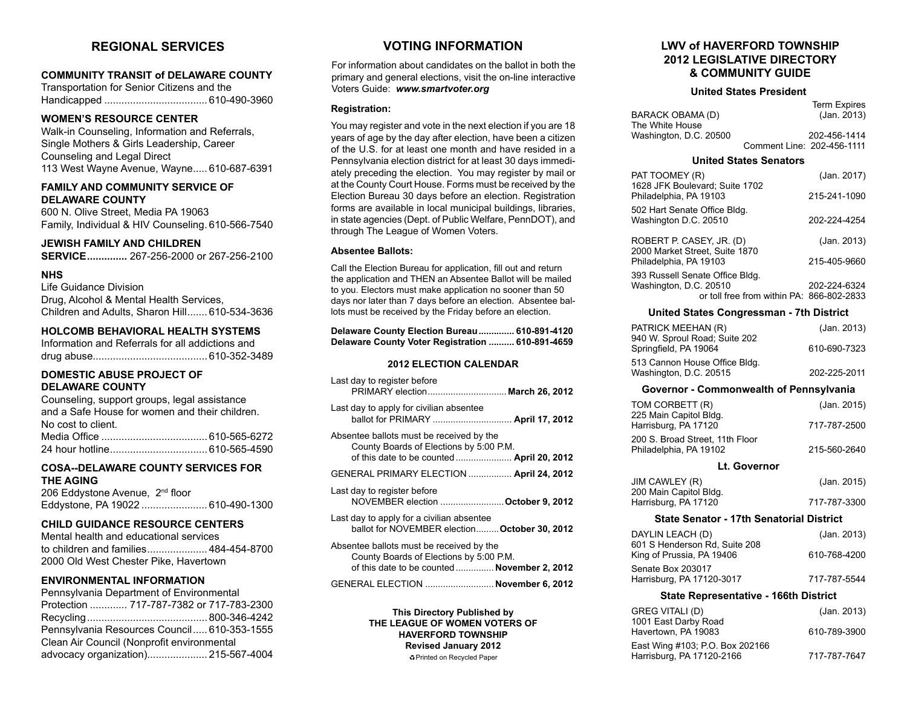# **REGIONAL SERVICES**

## **COMMUNITY TRANSIT of DELAWARE COUNTY**

Transportation for Senior Citizens and the Handicapped .................................... 610-490-3960

# **WOMEN'S RESOURCE CENTER**

Walk-in Counseling, Information and Referrals, Single Mothers & Girls Leadership, Career Counseling and Legal Direct 113 West Wayne Avenue, Wayne..... 610-687-6391

# **FAMILY AND COMMUNITY SERVICE OF DELAWARE COUNTY**

600 N. Olive Street, Media PA 19063 Family, Individual & HIV Counseling. 610-566-7540

# **JEWISH FAMILY AND CHILDREN**

**SERVICE..............** 267-256-2000 or 267-256-2100

## **NHS**

Life Guidance Division Drug, Alcohol & Mental Health Services, Children and Adults, Sharon Hill....... 610-534-3636

# **HOLCOMB BEHAVIORAL HEALTH SYSTEMS**

Information and Referrals for all addictions and drug abuse........................................ 610-352-3489

#### **DOMESTIC ABUSE PROJECT OF DELAWARE COUNTY**

#### **COSA--DELAWARE COUNTY SERVICES FOR THE AGING**

206 Eddystone Avenue, 2nd floor Eddystone, PA 19022 ....................... 610-490-1300

## **CHILD GUIDANCE RESOURCE CENTERS**

Mental health and educational services to children and families..................... 484-454-8700 2000 Old West Chester Pike, Havertown

## **ENVIRONMENTAL INFORMATION**

| Pennsylvania Department of Environmental    |  |
|---------------------------------------------|--|
| Protection  717-787-7382 or 717-783-2300    |  |
|                                             |  |
| Pennsylvania Resources Council 610-353-1555 |  |
| Clean Air Council (Nonprofit environmental  |  |
| advocacy organization) 215-567-4004         |  |

# **VOTING INFORMATION**

For information about candidates on the ballot in both the primary and general elections, visit the on-line interactive Voters Guide: *www.smartvoter.org*

#### **Registration:**

You may register and vote in the next election if you are 18 years of age by the day after election, have been a citizen of the U.S. for at least one month and have resided in a Pennsylvania election district for at least 30 days immediately preceding the election. You may register by mail or at the County Court House. Forms must be received by the Election Bureau 30 days before an election. Registration forms are available in local municipal buildings, libraries, in state agencies (Dept. of Public Welfare, PennDOT), and through The League of Women Voters.

#### **Absentee Ballots:**

Call the Election Bureau for application, fill out and return the application and THEN an Absentee Ballot will be mailed to you. Electors must make application no sooner than 50 days nor later than 7 days before an election. Absentee ballots must be received by the Friday before an election.

| Delaware County Election Bureau 610-891-4120     |  |
|--------------------------------------------------|--|
| Delaware County Voter Registration  610-891-4659 |  |

#### **2012 ELECTION CALENDAR**

| Last day to register before<br>PRIMARY election March 26, 2012                                                                      |
|-------------------------------------------------------------------------------------------------------------------------------------|
| Last day to apply for civilian absentee<br>ballot for PRIMARY  April 17, 2012                                                       |
| Absentee ballots must be received by the<br>County Boards of Elections by 5:00 P.M.                                                 |
| GENERAL PRIMARY ELECTION  April 24, 2012                                                                                            |
| Last day to register before<br>NOVEMBER election  October 9, 2012                                                                   |
| Last day to apply for a civilian absentee<br>ballot for NOVEMBER election October 30, 2012                                          |
| Absentee ballots must be received by the<br>County Boards of Elections by 5:00 P.M.<br>of this date to be counted  November 2, 2012 |
| GENERAL ELECTION  November 6, 2012                                                                                                  |

**This Directory Published by THE LEAGUE OF WOMEN VOTERS OF HAVERFORD TOWNSHIP Revised January 2012** ÁPrinted on Recycled Paper

# **LWV of HAVERFORD TOWNSHIP 2012 LEGISLATIVE DIRECTORY & COMMUNITY GUIDE**

#### **United States President**

|                        | <b>Term Expires</b>        |
|------------------------|----------------------------|
| BARACK OBAMA (D)       | (Jan. 2013)                |
| The White House        |                            |
| Washington, D.C. 20500 | 202-456-1414               |
|                        | Comment Line: 202-456-1111 |

#### **United States Senators**

| PAT TOOMEY (R)<br>1628 JFK Boulevard; Suite 1702                    | (Jan. 2017)  |
|---------------------------------------------------------------------|--------------|
| Philadelphia, PA 19103                                              | 215-241-1090 |
| 502 Hart Senate Office Bldg.<br>Washington D.C. 20510               | 202-224-4254 |
| ROBERT P. CASEY, JR. (D)<br>2000 Market Street, Suite 1870          | (Jan. 2013)  |
| Philadelphia, PA 19103                                              | 215-405-9660 |
| 393 Russell Senate Office Bldg.                                     |              |
| Washington, D.C. 20510<br>or toll free from within PA: 866-802-2833 | 202-224-6324 |

#### **United States Congressman - 7th District**

| PATRICK MEEHAN (R)            | (Jan. 2013)  |
|-------------------------------|--------------|
| 940 W. Sproul Road; Suite 202 |              |
| Springfield, PA 19064         | 610-690-7323 |
| 513 Cannon House Office Bldg. |              |
| Washington, D.C. 20515        | 202-225-2011 |

#### **Governor - Commonwealth of Pennsylvania**

| TOM CORBETT (R)<br>225 Main Capitol Bldg.                 | (Jan. 2015)  |
|-----------------------------------------------------------|--------------|
| Harrisburg, PA 17120                                      | 717-787-2500 |
| 200 S. Broad Street. 11th Floor<br>Philadelphia, PA 19102 | 215-560-2640 |

#### **Lt. Governor**

| JIM CAWLEY (R)         | (Jan. 2015)  |
|------------------------|--------------|
| 200 Main Capitol Bldg. |              |
| Harrisburg, PA 17120   | 717-787-3300 |

## **State Senator - 17th Senatorial District**

| DAYLIN LEACH (D)<br>601 S Henderson Rd, Suite 208 | (Jan. 2013)  |
|---------------------------------------------------|--------------|
| King of Prussia, PA 19406                         | 610-768-4200 |
| Senate Box 203017<br>Harrisburg, PA 17120-3017    | 717-787-5544 |
|                                                   |              |

#### **State Representative - 166th District**

| GREG VITALI (D)<br>1001 East Darby Road                      | (Jan. 2013)  |
|--------------------------------------------------------------|--------------|
| Havertown, PA 19083                                          | 610-789-3900 |
| East Wing #103; P.O. Box 202166<br>Harrisburg, PA 17120-2166 | 717-787-7647 |